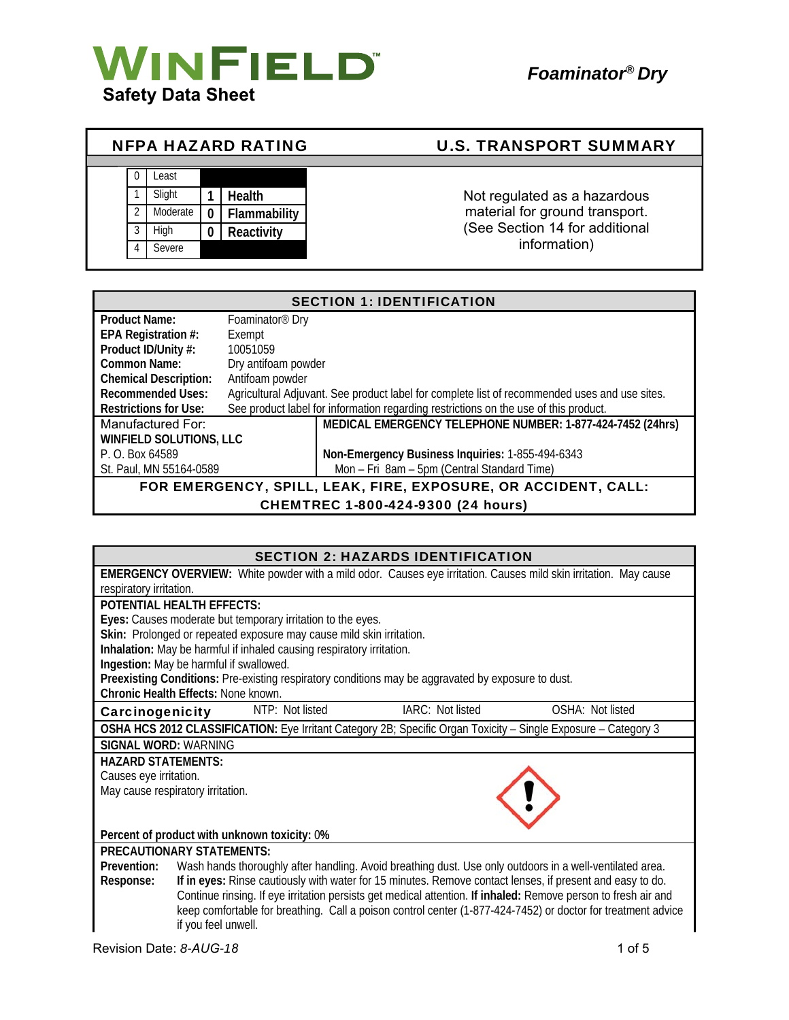

| <b>NFPA HAZARD RATING</b> |  |          |              |              | <b>U.S. TRANSPORT SUMMARY</b>  |
|---------------------------|--|----------|--------------|--------------|--------------------------------|
|                           |  |          |              |              |                                |
|                           |  | Least    |              |              |                                |
|                           |  | Slight   |              | Health       | Not regulated as a hazardous   |
|                           |  | Moderate | $\mathbf{0}$ | Flammability | material for ground transport. |
|                           |  | High     |              | Reactivity   | (See Section 14 for additional |
|                           |  | Severe   |              |              | information)                   |

| <b>SECTION 1: IDENTIFICATION</b>                               |                                                                                               |  |
|----------------------------------------------------------------|-----------------------------------------------------------------------------------------------|--|
| <b>Product Name:</b>                                           | Foaminator <sup>®</sup> Dry                                                                   |  |
| EPA Registration #:                                            | Exempt                                                                                        |  |
| Product ID/Unity #:                                            | 10051059                                                                                      |  |
| <b>Common Name:</b>                                            | Dry antifoam powder                                                                           |  |
| <b>Chemical Description:</b>                                   | Antifoam powder                                                                               |  |
| <b>Recommended Uses:</b>                                       | Agricultural Adjuvant. See product label for complete list of recommended uses and use sites. |  |
| <b>Restrictions for Use:</b>                                   | See product label for information regarding restrictions on the use of this product.          |  |
| Manufactured For:                                              | MEDICAL EMERGENCY TELEPHONE NUMBER: 1-877-424-7452 (24hrs)                                    |  |
| <b>WINFIELD SOLUTIONS, LLC</b>                                 |                                                                                               |  |
| P. O. Box 64589                                                | Non-Emergency Business Inquiries: 1-855-494-6343                                              |  |
| St. Paul, MN 55164-0589                                        | Mon - Fri 8am - 5pm (Central Standard Time)                                                   |  |
| FOR EMERGENCY, SPILL, LEAK, FIRE, EXPOSURE, OR ACCIDENT, CALL: |                                                                                               |  |
| $A = 200$ and $A = 200$ $A = 300$ $A = 100$ m                  |                                                                                               |  |

CHEMTREC 1-800-424-9300 (24 hours)

|                                         |                           |                                                                       | <b>SECTION 2: HAZARDS IDENTIFICATION</b>                                                           |                                                                                                                         |
|-----------------------------------------|---------------------------|-----------------------------------------------------------------------|----------------------------------------------------------------------------------------------------|-------------------------------------------------------------------------------------------------------------------------|
|                                         |                           |                                                                       |                                                                                                    | <b>EMERGENCY OVERVIEW:</b> White powder with a mild odor. Causes eye irritation. Causes mild skin irritation. May cause |
| respiratory irritation.                 |                           |                                                                       |                                                                                                    |                                                                                                                         |
| <b>POTENTIAL HEALTH EFFECTS:</b>        |                           |                                                                       |                                                                                                    |                                                                                                                         |
|                                         |                           | Eyes: Causes moderate but temporary irritation to the eyes.           |                                                                                                    |                                                                                                                         |
|                                         |                           | Skin: Prolonged or repeated exposure may cause mild skin irritation.  |                                                                                                    |                                                                                                                         |
|                                         |                           | Inhalation: May be harmful if inhaled causing respiratory irritation. |                                                                                                    |                                                                                                                         |
| Ingestion: May be harmful if swallowed. |                           |                                                                       |                                                                                                    |                                                                                                                         |
|                                         |                           |                                                                       | Preexisting Conditions: Pre-existing respiratory conditions may be aggravated by exposure to dust. |                                                                                                                         |
| Chronic Health Effects: None known.     |                           |                                                                       |                                                                                                    |                                                                                                                         |
| Carcinogenicity                         |                           | NTP: Not listed                                                       | IARC: Not listed                                                                                   | OSHA: Not listed                                                                                                        |
|                                         |                           |                                                                       |                                                                                                    | OSHA HCS 2012 CLASSIFICATION: Eye Irritant Category 2B; Specific Organ Toxicity - Single Exposure - Category 3          |
|                                         | SIGNAL WORD: WARNING      |                                                                       |                                                                                                    |                                                                                                                         |
|                                         | <b>HAZARD STATEMENTS:</b> |                                                                       |                                                                                                    |                                                                                                                         |
| Causes eye irritation.                  |                           |                                                                       |                                                                                                    |                                                                                                                         |
| May cause respiratory irritation.       |                           |                                                                       |                                                                                                    |                                                                                                                         |
|                                         |                           |                                                                       |                                                                                                    |                                                                                                                         |
|                                         |                           |                                                                       |                                                                                                    |                                                                                                                         |
|                                         |                           | Percent of product with unknown toxicity: 0%                          |                                                                                                    |                                                                                                                         |
| <b>PRECAUTIONARY STATEMENTS:</b>        |                           |                                                                       |                                                                                                    |                                                                                                                         |
| Prevention:                             |                           |                                                                       |                                                                                                    | Wash hands thoroughly after handling. Avoid breathing dust. Use only outdoors in a well-ventilated area.                |
| Response:                               |                           |                                                                       |                                                                                                    | If in eyes: Rinse cautiously with water for 15 minutes. Remove contact lenses, if present and easy to do.               |
|                                         |                           |                                                                       |                                                                                                    | Continue rinsing. If eye irritation persists get medical attention. If inhaled: Remove person to fresh air and          |
|                                         |                           |                                                                       |                                                                                                    | keep comfortable for breathing. Call a poison control center (1-877-424-7452) or doctor for treatment advice            |
|                                         | if you feel unwell.       |                                                                       |                                                                                                    |                                                                                                                         |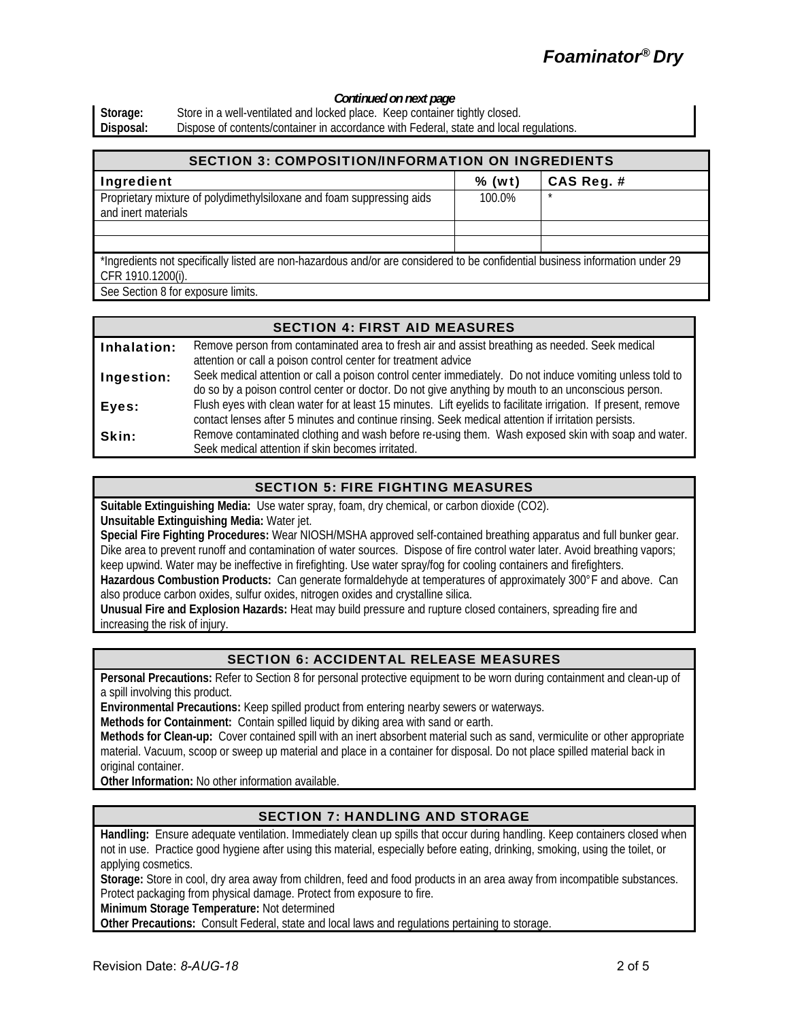# *Foaminator® Dry*

#### *Continued on next page*

Storage: Store in a well-ventilated and locked place. Keep container tightly closed.<br>
Disposal: Dispose of contents/container in accordance with Federal, state and local Dispose of contents/container in accordance with Federal, state and local regulations.

| <b>SECTION 3: COMPOSITION/INFORMATION ON INGREDIENTS</b>                                                                                           |        |            |  |
|----------------------------------------------------------------------------------------------------------------------------------------------------|--------|------------|--|
| Ingredient                                                                                                                                         | % (wt) | CAS Reg. # |  |
| Proprietary mixture of polydimethylsiloxane and foam suppressing aids<br>and inert materials                                                       | 100.0% | $\star$    |  |
|                                                                                                                                                    |        |            |  |
|                                                                                                                                                    |        |            |  |
| *Ingredients not specifically listed are non-hazardous and/or are considered to be confidential business information under 29<br>CFR 1910.1200(i). |        |            |  |

See Section 8 for exposure limits.

|             | <b>SECTION 4: FIRST AID MEASURES</b>                                                                                                                                                                                  |
|-------------|-----------------------------------------------------------------------------------------------------------------------------------------------------------------------------------------------------------------------|
| Inhalation: | Remove person from contaminated area to fresh air and assist breathing as needed. Seek medical<br>attention or call a poison control center for treatment advice                                                      |
| Ingestion:  | Seek medical attention or call a poison control center immediately. Do not induce vomiting unless told to<br>do so by a poison control center or doctor. Do not give anything by mouth to an unconscious person.      |
| Eyes:       | Flush eyes with clean water for at least 15 minutes. Lift eyelids to facilitate irrigation. If present, remove<br>contact lenses after 5 minutes and continue rinsing. Seek medical attention if irritation persists. |
| Skin:       | Remove contaminated clothing and wash before re-using them. Wash exposed skin with soap and water.<br>Seek medical attention if skin becomes irritated.                                                               |

# SECTION 5: FIRE FIGHTING MEASURES

**Suitable Extinguishing Media:** Use water spray, foam, dry chemical, or carbon dioxide (CO2). **Unsuitable Extinguishing Media:** Water jet.

**Special Fire Fighting Procedures:** Wear NIOSH/MSHA approved self-contained breathing apparatus and full bunker gear. Dike area to prevent runoff and contamination of water sources. Dispose of fire control water later. Avoid breathing vapors; keep upwind. Water may be ineffective in firefighting. Use water spray/fog for cooling containers and firefighters.

**Hazardous Combustion Products:** Can generate formaldehyde at temperatures of approximately 300°F and above. Can also produce carbon oxides, sulfur oxides, nitrogen oxides and crystalline silica.

**Unusual Fire and Explosion Hazards:** Heat may build pressure and rupture closed containers, spreading fire and increasing the risk of injury.

# SECTION 6: ACCIDENTAL RELEASE MEASURES

**Personal Precautions:** Refer to Section 8 for personal protective equipment to be worn during containment and clean-up of a spill involving this product.

**Environmental Precautions:** Keep spilled product from entering nearby sewers or waterways.

**Methods for Containment:** Contain spilled liquid by diking area with sand or earth.

**Methods for Clean-up:** Cover contained spill with an inert absorbent material such as sand, vermiculite or other appropriate material. Vacuum, scoop or sweep up material and place in a container for disposal. Do not place spilled material back in original container.

**Other Information:** No other information available.

# SECTION 7: HANDLING AND STORAGE

**Handling:** Ensure adequate ventilation. Immediately clean up spills that occur during handling. Keep containers closed when not in use. Practice good hygiene after using this material, especially before eating, drinking, smoking, using the toilet, or applying cosmetics.

**Storage:** Store in cool, dry area away from children, feed and food products in an area away from incompatible substances. Protect packaging from physical damage. Protect from exposure to fire.

**Minimum Storage Temperature:** Not determined

**Other Precautions:** Consult Federal, state and local laws and regulations pertaining to storage.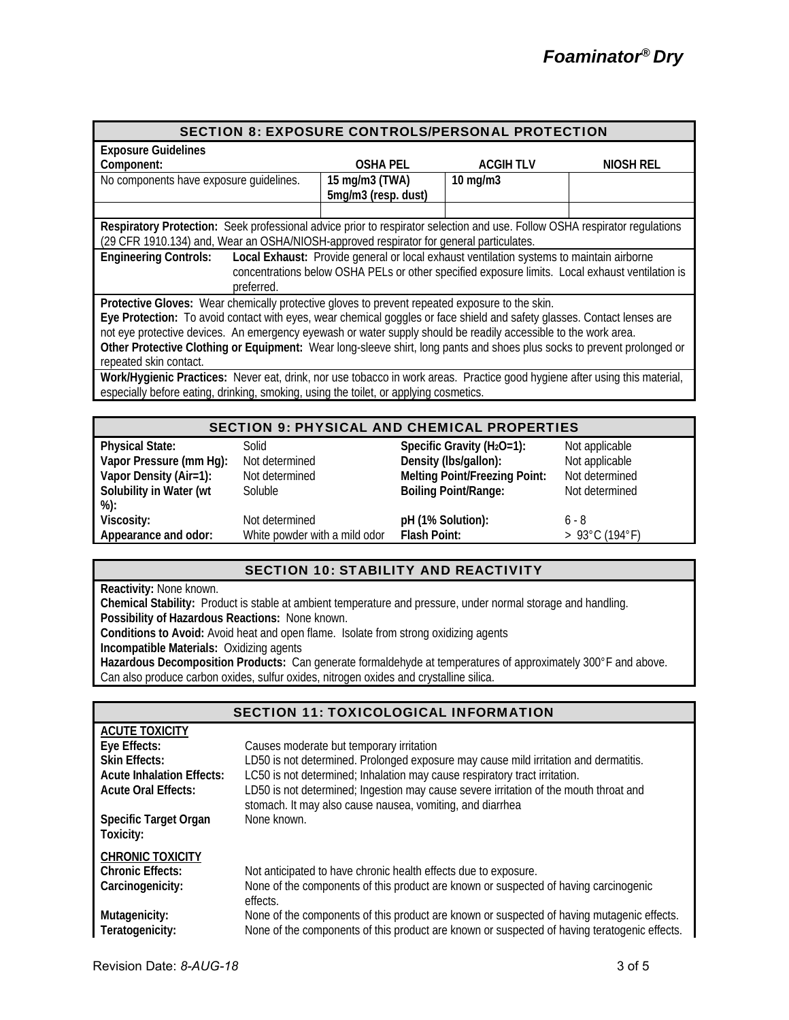| <b>SECTION 8: EXPOSURE CONTROLS/PERSONAL PROTECTION</b>                                                                    |                     |                                                                                                 |           |  |
|----------------------------------------------------------------------------------------------------------------------------|---------------------|-------------------------------------------------------------------------------------------------|-----------|--|
| <b>Exposure Guidelines</b>                                                                                                 |                     |                                                                                                 |           |  |
| Component:                                                                                                                 | <b>OSHA PEL</b>     | <b>ACGIH TLV</b>                                                                                | NIOSH REL |  |
| No components have exposure quidelines.                                                                                    | 15 mg/m3 (TWA)      | $10$ mg/m $3$                                                                                   |           |  |
|                                                                                                                            | 5mg/m3 (resp. dust) |                                                                                                 |           |  |
|                                                                                                                            |                     |                                                                                                 |           |  |
| Respiratory Protection: Seek professional advice prior to respirator selection and use. Follow OSHA respirator requlations |                     |                                                                                                 |           |  |
| (29 CFR 1910.134) and, Wear an OSHA/NIOSH-approved respirator for general particulates.                                    |                     |                                                                                                 |           |  |
| <b>Engineering Controls:</b>                                                                                               |                     | Local Exhaust: Provide general or local exhaust ventilation systems to maintain airborne        |           |  |
|                                                                                                                            |                     | concentrations below OSHA PELs or other specified exposure limits. Local exhaust ventilation is |           |  |
| preferred.                                                                                                                 |                     |                                                                                                 |           |  |
| Protective Gloves: Wear chemically protective gloves to prevent repeated exposure to the skin.                             |                     |                                                                                                 |           |  |
| Eye Protection: To avoid contact with eyes, wear chemical goggles or face shield and safety glasses. Contact lenses are    |                     |                                                                                                 |           |  |
| not eye protective devices. An emergency eyewash or water supply should be readily accessible to the work area.            |                     |                                                                                                 |           |  |
| Other Protective Clothing or Equipment: Wear long-sleeve shirt, long pants and shoes plus socks to prevent prolonged or    |                     |                                                                                                 |           |  |
| repeated skin contact.                                                                                                     |                     |                                                                                                 |           |  |
| Work/Hygienic Practices: Never eat, drink, nor use tobacco in work areas. Practice good hygiene after using this material, |                     |                                                                                                 |           |  |
| especially before eating, drinking, smoking, using the toilet, or applying cosmetics.                                      |                     |                                                                                                 |           |  |
|                                                                                                                            |                     |                                                                                                 |           |  |
| <b>SECTION 9: PHYSICAL AND CHEMICAL PROPERTIES</b>                                                                         |                     |                                                                                                 |           |  |

| SECTION 9. PHTSICAL AND CHEMICAL PROPERTIES |                               |                                      |                                     |
|---------------------------------------------|-------------------------------|--------------------------------------|-------------------------------------|
| <b>Physical State:</b>                      | Solid                         | Specific Gravity ( $H_2O=1$ ):       | Not applicable                      |
| Vapor Pressure (mm Hg):                     | Not determined                | Density (Ibs/gallon):                | Not applicable                      |
| Vapor Density (Air=1):                      | Not determined                | <b>Melting Point/Freezing Point:</b> | Not determined                      |
| Solubility in Water (wt                     | Soluble                       | <b>Boiling Point/Range:</b>          | Not determined                      |
| %):                                         |                               |                                      |                                     |
| Viscosity:                                  | Not determined                | pH (1% Solution):                    | 6 - 8                               |
| Appearance and odor:                        | White powder with a mild odor | Flash Point:                         | $> 93^{\circ}$ C (194 $^{\circ}$ F) |

# SECTION 10: STABILITY AND REACTIVITY

**Reactivity:** None known.

**Chemical Stability:** Product is stable at ambient temperature and pressure, under normal storage and handling. **Possibility of Hazardous Reactions:** None known.

**Conditions to Avoid:** Avoid heat and open flame. Isolate from strong oxidizing agents

**Incompatible Materials:** Oxidizing agents

**Hazardous Decomposition Products:** Can generate formaldehyde at temperatures of approximately 300°F and above. Can also produce carbon oxides, sulfur oxides, nitrogen oxides and crystalline silica.

|                                  | SECTION TI: TOXICOLOGICAL INFORMATION                                                                                                              |
|----------------------------------|----------------------------------------------------------------------------------------------------------------------------------------------------|
| <b>ACUTE TOXICITY</b>            |                                                                                                                                                    |
| Eye Effects:                     | Causes moderate but temporary irritation                                                                                                           |
| <b>Skin Effects:</b>             | LD50 is not determined. Prolonged exposure may cause mild irritation and dermatitis.                                                               |
| <b>Acute Inhalation Effects:</b> | LC50 is not determined; Inhalation may cause respiratory tract irritation.                                                                         |
| <b>Acute Oral Effects:</b>       | LD50 is not determined; Ingestion may cause severe irritation of the mouth throat and<br>stomach. It may also cause nausea, vomiting, and diarrhea |
| <b>Specific Target Organ</b>     | None known.                                                                                                                                        |
| Toxicity:                        |                                                                                                                                                    |
| <b>CHRONIC TOXICITY</b>          |                                                                                                                                                    |
| <b>Chronic Effects:</b>          | Not anticipated to have chronic health effects due to exposure.                                                                                    |
| Carcinogenicity:                 | None of the components of this product are known or suspected of having carcinogenic<br>effects.                                                   |
| Mutagenicity:                    | None of the components of this product are known or suspected of having mutagenic effects.                                                         |
| Teratogenicity:                  | None of the components of this product are known or suspected of having teratogenic effects.                                                       |

# SECTION 11: TOXICOLOGICAL INFORMATION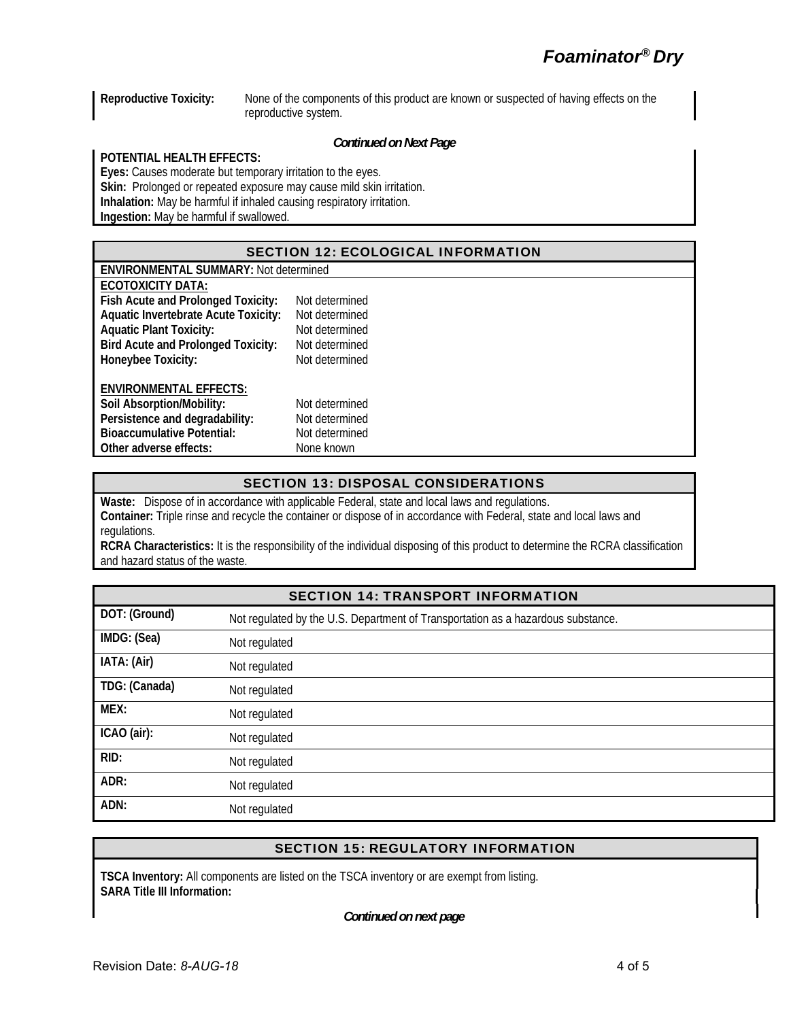**Reproductive Toxicity:** None of the components of this product are known or suspected of having effects on the reproductive system.

#### *Continued on Next Page*

#### **POTENTIAL HEALTH EFFECTS:**

**Eyes:** Causes moderate but temporary irritation to the eyes. **Skin:** Prolonged or repeated exposure may cause mild skin irritation. **Inhalation:** May be harmful if inhaled causing respiratory irritation. **Ingestion:** May be harmful if swallowed.

# SECTION 12: ECOLOGICAL INFORMATION

| <b>ENVIRONMENTAL SUMMARY: Not determined</b> |                |  |  |  |
|----------------------------------------------|----------------|--|--|--|
| <b>ECOTOXICITY DATA:</b>                     |                |  |  |  |
| Fish Acute and Prolonged Toxicity:           | Not determined |  |  |  |
| <b>Aquatic Invertebrate Acute Toxicity:</b>  | Not determined |  |  |  |
| <b>Aquatic Plant Toxicity:</b>               | Not determined |  |  |  |
| <b>Bird Acute and Prolonged Toxicity:</b>    | Not determined |  |  |  |
| Honeybee Toxicity:                           | Not determined |  |  |  |
| <b>ENVIRONMENTAL EFFECTS:</b>                |                |  |  |  |
| Soil Absorption/Mobility:                    | Not determined |  |  |  |
| Persistence and degradability:               | Not determined |  |  |  |
| <b>Bioaccumulative Potential:</b>            | Not determined |  |  |  |
| Other adverse effects:                       | None known     |  |  |  |

# SECTION 13: DISPOSAL CONSIDERATIONS

**Waste:** Dispose of in accordance with applicable Federal, state and local laws and regulations. **Container:** Triple rinse and recycle the container or dispose of in accordance with Federal, state and local laws and regulations.

**RCRA Characteristics:** It is the responsibility of the individual disposing of this product to determine the RCRA classification and hazard status of the waste.

| <b>SECTION 14: TRANSPORT INFORMATION</b> |                                                                                  |  |
|------------------------------------------|----------------------------------------------------------------------------------|--|
| DOT: (Ground)                            | Not regulated by the U.S. Department of Transportation as a hazardous substance. |  |
| IMDG: (Sea)                              | Not regulated                                                                    |  |
| IATA: (Air)                              | Not regulated                                                                    |  |
| TDG: (Canada)                            | Not regulated                                                                    |  |
| MEX:                                     | Not regulated                                                                    |  |
| ICAO (air):                              | Not regulated                                                                    |  |
| RID:                                     | Not regulated                                                                    |  |
| ADR:                                     | Not regulated                                                                    |  |
| ADN:                                     | Not regulated                                                                    |  |

# SECTION 15: REGULATORY INFORMATION

**TSCA Inventory:** All components are listed on the TSCA inventory or are exempt from listing. **SARA Title III Information:** 

*Continued on next page*